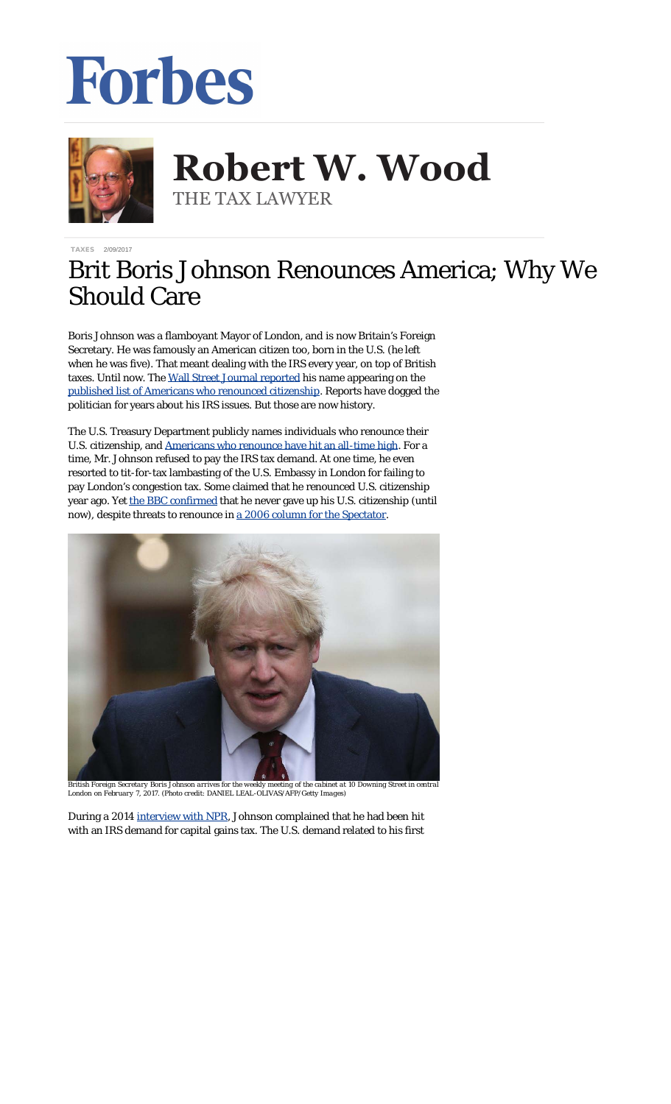## Forbes



**Robert W. Wood Robert W. Wood** THE TAX LAWYER THE TAX LAWYER

[TAXES](http://www.forbes.com/taxes) 2/09/2017

## Brit Boris Johnson Renounces America; Why We Should Care

Boris Johnson was a flamboyant Mayor of London, and is now Britain's Foreign Secretary. He was famously an American citizen *too*, born in the U.S. (he left when he was five). That meant dealing with the IRS every year, on top of British taxes. Until now. The [Wall Street Journal reported](https://www.wsj.com/articles/u-k-foreign-secretary-boris-johnson-among-5-411-people-who-renounce-u-s-citizenship-in-2016-1486578008) his name appearing on the [published list of Americans who renounced citizenship.](https://s3.amazonaws.com/public-inspection.federalregister.gov/2017-02699.pdf) Reports have dogged the politician for years about his IRS issues. But those are now history.

The U.S. Treasury Department publicly names individuals who renounce their U.S. citizenship, and [Americans who renounce have hit an all-time high](http://taxprof.typepad.com/taxprof_blog/2017/02/number-of-americans-renouncing-their-us-citizenship-hit-all-time-high-in-2016-up-26-from-2015.html). For a time, Mr. Johnson refused to pay the IRS tax demand. At one time, he even resorted to tit-for-tax lambasting of the U.S. Embassy in London for failing to pay London's congestion tax. Some claimed that he renounced U.S. citizenship year ago. Yet [the BBC confirmed](http://www.bbc.co.uk/news/blogs-magazine-monitor-27371673) that he never gave up his U.S. citizenship (until now), despite threats to renounce in [a 2006 column for the Spectator](http://www.boris-johnson.com/2006/08/29/american-passport/).



*British Foreign Secretary Boris Johnson arrives for the weekly meeting of the cabinet at 10 Downing Street in central London on February 7, 2017. (Photo credit: DANIEL LEAL-OLIVAS/AFP/Getty Images)*

During a 2014 [interview with NPR,](http://thedianerehmshow.org/shows/2014-11-13/boris_johnson_the_churchill_factor) Johnson complained that he had been hit with an IRS demand for capital gains tax. The U.S. demand related to his first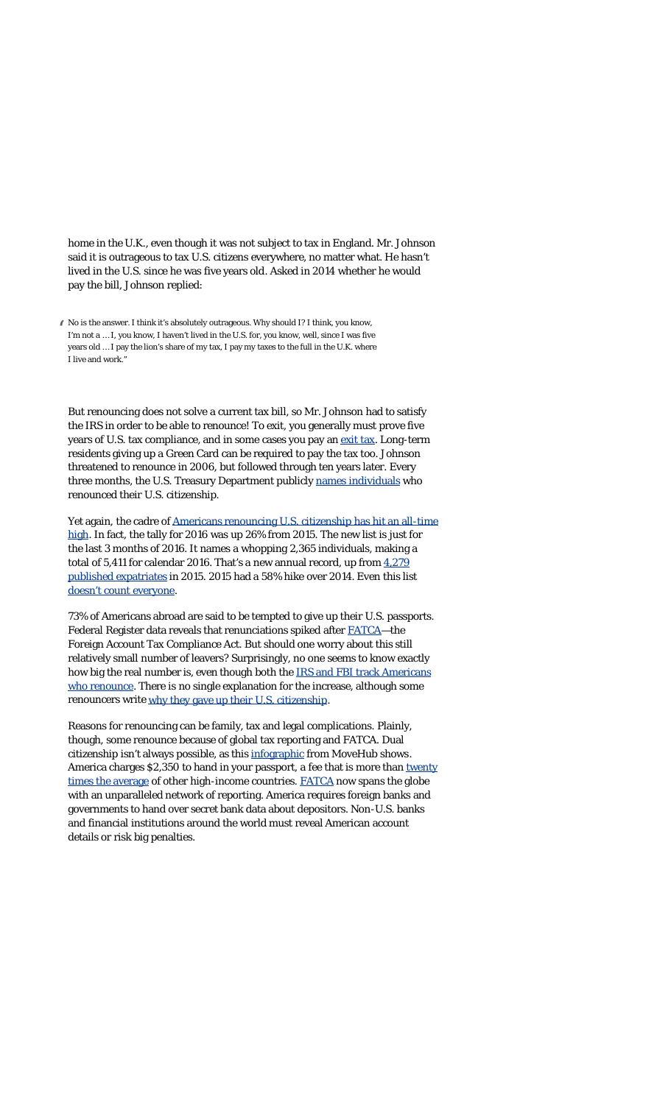home *in the U.K.*, even though it was not subject to tax in England. Mr. Johnson said it is outrageous to tax U.S. citizens everywhere, no matter what. He hasn't lived in the U.S. since he was five years old. Asked in 2014 whether he would pay the bill, Johnson replied:

" No is the answer. I think it's absolutely outrageous. Why should I? I think, you know, I'm not a … I, you know, I haven't lived in the U.S. for, you know, well, since I was five years old … I pay the lion's share of my tax, I pay my taxes to the full in the U.K. where I live and work."

But renouncing does not solve a current tax bill, so Mr. Johnson had to satisfy the IRS in order to be able to renounce! To exit, you generally must prove five years of U.S. tax compliance, and in some cases you pay an [exit tax.](http://www.irs.gov/Individuals/International-Taxpayers/Expatriation-Tax) Long-term residents giving up a Green Card can be required to pay the tax too. Johnson threatened to renounce in 2006, but followed through ten years later. Every three months, the U.S. Treasury Department publicly [names individuals](https://s3.amazonaws.com/public-inspection.federalregister.gov/2017-02699.pdf) who renounced their U.S. citizenship.

Yet again, the cadre of [Americans renouncing U.S. citizenship has hit an all-time](http://taxprof.typepad.com/taxprof_blog/2017/02/number-of-americans-renouncing-their-us-citizenship-hit-all-time-high-in-2016-up-26-from-2015.html) [high.](http://taxprof.typepad.com/taxprof_blog/2017/02/number-of-americans-renouncing-their-us-citizenship-hit-all-time-high-in-2016-up-26-from-2015.html) In fact, the tally for 2016 was up 26% from 2015. The new list is just for the last 3 months of 2016. It names a whopping 2,365 individuals, making a total of 5,411 for calendar 2016. That's a new annual record, up from  $4,279$ [published expatriates](http://intltax.typepad.com/intltax_blog/2016/02/new-expatriate-record-2015-nearly-4300-expatriations.html) in 2015. 2015 had a 58% hike over 2014. Even this list [doesn't count everyone](http://www.forbes.com/sites/robertwood/2014/05/03/americans-are-renouncing-citizenship-at-record-pace-and-many-arent-even-counted/).

73% of Americans abroad are said to be tempted to give up their U.S. passports. Federal Register data reveals that renunciations spiked after [FATCA—](http://www.irs.gov/businesses/corporations/article/0,,id=236667,00.html)the Foreign Account Tax Compliance Act. But should one worry about this still relatively small number of leavers? Surprisingly, no one seems to know exactly how big the real number is, even though both the [IRS and FBI track Americans](http://www.forbes.com/sites/robertwood/2015/09/21/irs-and-fbi-track-americans-who-renounce-citizenship-why-is-fbi-list-longer/#38baa14c2f84) [who renounce.](http://www.forbes.com/sites/robertwood/2015/09/21/irs-and-fbi-track-americans-who-renounce-citizenship-why-is-fbi-list-longer/#38baa14c2f84) There is no single explanation for the increase, although some renouncers write why they gave up their [U.S. citizenship](http://www.forbes.com/sites/robertwood/2016/02/18/dear-mrs-obama-why-i-gave-up-my-u-s-citizenship/#1b2abc0d4429).

Reasons for renouncing can be family, tax and legal complications. Plainly, though, some renounce because of global tax reporting and FATCA. Dual citizenship isn't always possible, as this [infographic](http://www.movehub.com/blog/dual-citizenship-around-the-world-map) from MoveHub shows. America charges \$2,350 to hand in your passport, a fee that is more than [twenty](http://isaacbrocksociety.ca/2014/08/22/comparison-of-fees-and-procedures-for-renouncing-citizenship-in-various-countries/comment-page-1/) [times the average](http://isaacbrocksociety.ca/2014/08/22/comparison-of-fees-and-procedures-for-renouncing-citizenship-in-various-countries/comment-page-1/) of other high-income countries. [FATCA](http://www.irs.gov/businesses/corporations/article/0,,id=236667,00.html) now spans the globe with an unparalleled network of reporting. America requires foreign banks and governments to hand over secret bank data about depositors. Non-U.S. banks and financial institutions around the world must reveal American account details or risk big penalties.